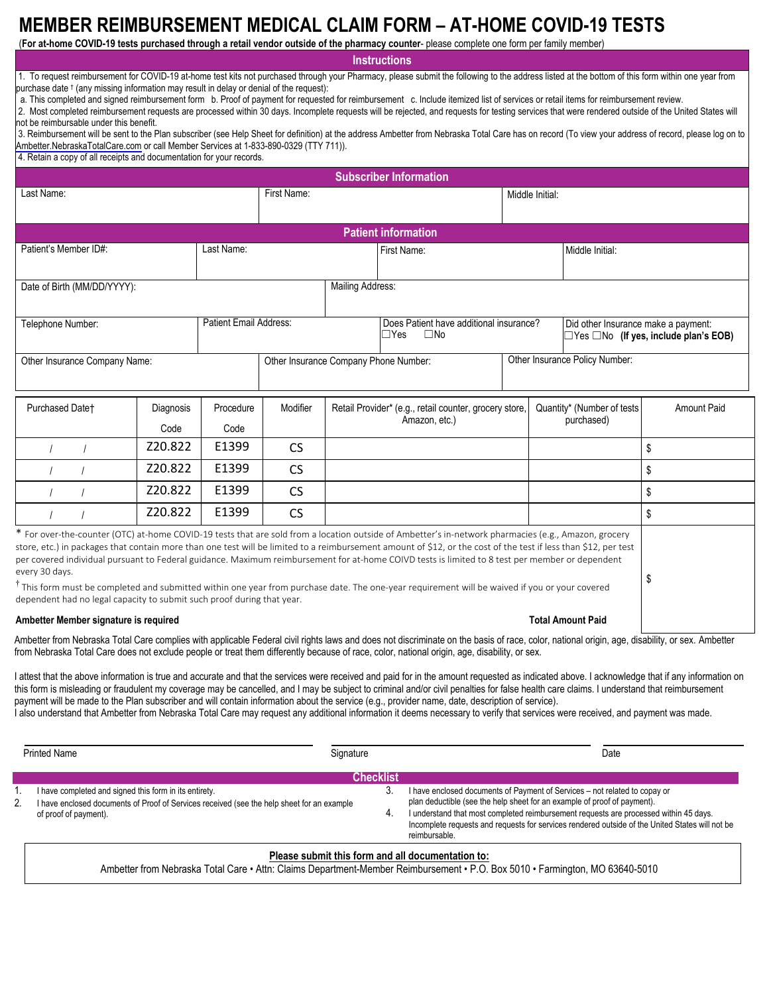# **MEMBER REIMBURSEMENT MEDICAL CLAIM FORM – AT-HOME COVID-19 TESTS**

(**For at-home COVID-19 tests purchased through a retail vendor outside of the pharmacy counter**- please complete one form per family member)

**Instructions**

1. To request reimbursement for COVID-19 at-home test kits not purchased through your Pharmacy, please submit the following to the address listed at the bottom of this form within one year from purchase date  $\dagger$  (any missing information may result in delay or denial of the request):

a. This completed and signed reimbursement form b. Proof of payment for requested for reimbursement c. Include itemized list of services or retail items for reimbursement review.

2. Most completed reimbursement requests are processed within 30 days. Incomplete requests will be rejected, and requests for testing services that were rendered outside of the United States will not be reimbursable under this benefit.

3. Reimbursement will be sent to the Plan subscriber (see Help Sheet for definition) at the address Ambetter from Nebraska Total Care has on record (To view your address of record, please log on to [Ambetter.NebraskaTotalCare.com](http://Ambetter.NebraskaTotalCare.com) or call Member Services at 1-833-890-0329 (TTY 711)).

4. Retain a copy of all receipts and documentation for your records.

| <b>Subscriber Information</b> |                               |                   |                                       |                                                                       |                                                                                                                                                                                                                                                                                                                                                                                                                                                                                                                                                                                                                                          |                                |                                                                                          |                    |  |  |
|-------------------------------|-------------------------------|-------------------|---------------------------------------|-----------------------------------------------------------------------|------------------------------------------------------------------------------------------------------------------------------------------------------------------------------------------------------------------------------------------------------------------------------------------------------------------------------------------------------------------------------------------------------------------------------------------------------------------------------------------------------------------------------------------------------------------------------------------------------------------------------------------|--------------------------------|------------------------------------------------------------------------------------------|--------------------|--|--|
| Last Name:                    |                               |                   | First Name:                           |                                                                       |                                                                                                                                                                                                                                                                                                                                                                                                                                                                                                                                                                                                                                          | Middle Initial:                |                                                                                          |                    |  |  |
| <b>Patient information</b>    |                               |                   |                                       |                                                                       |                                                                                                                                                                                                                                                                                                                                                                                                                                                                                                                                                                                                                                          |                                |                                                                                          |                    |  |  |
| Patient's Member ID#:         | Last Name:                    |                   | First Name:                           |                                                                       |                                                                                                                                                                                                                                                                                                                                                                                                                                                                                                                                                                                                                                          | Middle Initial:                |                                                                                          |                    |  |  |
| Date of Birth (MM/DD/YYYY):   |                               |                   | Mailing Address:                      |                                                                       |                                                                                                                                                                                                                                                                                                                                                                                                                                                                                                                                                                                                                                          |                                |                                                                                          |                    |  |  |
| Telephone Number:             | <b>Patient Email Address:</b> |                   |                                       | Does Patient have additional insurance?<br>$\Box$ Yes<br>$\square$ No |                                                                                                                                                                                                                                                                                                                                                                                                                                                                                                                                                                                                                                          |                                | Did other Insurance make a payment:<br>$\Box$ Yes $\Box$ No (If yes, include plan's EOB) |                    |  |  |
| Other Insurance Company Name: |                               |                   | Other Insurance Company Phone Number: |                                                                       |                                                                                                                                                                                                                                                                                                                                                                                                                                                                                                                                                                                                                                          | Other Insurance Policy Number: |                                                                                          |                    |  |  |
| Purchased Datet               | Diagnosis<br>Code             | Procedure<br>Code | Modifier                              |                                                                       | Quantity* (Number of tests<br>Retail Provider* (e.g., retail counter, grocery store,<br>purchased)<br>Amazon, etc.)                                                                                                                                                                                                                                                                                                                                                                                                                                                                                                                      |                                |                                                                                          | <b>Amount Paid</b> |  |  |
|                               | Z20.822                       | E1399             | <b>CS</b>                             |                                                                       |                                                                                                                                                                                                                                                                                                                                                                                                                                                                                                                                                                                                                                          |                                |                                                                                          | \$                 |  |  |
|                               | Z20.822                       | E1399             | <b>CS</b>                             |                                                                       |                                                                                                                                                                                                                                                                                                                                                                                                                                                                                                                                                                                                                                          |                                |                                                                                          | \$                 |  |  |
|                               | Z20.822                       | E1399             | <b>CS</b>                             |                                                                       |                                                                                                                                                                                                                                                                                                                                                                                                                                                                                                                                                                                                                                          |                                |                                                                                          | \$                 |  |  |
|                               | Z20.822                       | E1399             | <b>CS</b>                             |                                                                       |                                                                                                                                                                                                                                                                                                                                                                                                                                                                                                                                                                                                                                          |                                |                                                                                          | \$                 |  |  |
| every 30 days.                |                               |                   |                                       |                                                                       | * For over-the-counter (OTC) at-home COVID-19 tests that are sold from a location outside of Ambetter's in-network pharmacies (e.g., Amazon, grocery<br>store, etc.) in packages that contain more than one test will be limited to a reimbursement amount of \$12, or the cost of the test if less than \$12, per test<br>per covered individual pursuant to Federal guidance. Maximum reimbursement for at-home COIVD tests is limited to 8 test per member or dependent<br>$^\textsf{T}$ This form must be completed and submitted within one year from purchase date. The one-year requirement will be waived if you or your covered |                                |                                                                                          | \$                 |  |  |

dependent had no legal capacity to submit such proof during that year.

#### **Ambetter Member signature is required**

#### **Total Amount Paid**

Ambetter from Nebraska Total Care complies with applicable Federal civil rights laws and does not discriminate on the basis of race, color, national origin, age, disability, or sex. Ambetter from Nebraska Total Care does not exclude people or treat them differently because of race, color, national origin, age, disability, or sex.

I attest that the above information is true and accurate and that the services were received and paid for in the amount requested as indicated above. I acknowledge that if any information on this form is misleading or fraudulent my coverage may be cancelled, and I may be subject to criminal and/or civil penalties for false health care claims. I understand that reimbursement payment will be made to the Plan subscriber and will contain information about the service (e.g., provider name, date, description of service).

I also understand that Ambetter from Nebraska Total Care may request any additional information it deems necessary to verify that services were received, and payment was made.

| <b>Printed Name</b> |                                                                                                                                                                               | Signature               | Date                                                                                                                                                                                                                                            |  |  |
|---------------------|-------------------------------------------------------------------------------------------------------------------------------------------------------------------------------|-------------------------|-------------------------------------------------------------------------------------------------------------------------------------------------------------------------------------------------------------------------------------------------|--|--|
| 2.                  | I have completed and signed this form in its entirety.<br>I have enclosed documents of Proof of Services received (see the help sheet for an example<br>of proof of payment). | <b>Checklist</b><br>-3. | I have enclosed documents of Payment of Services - not related to copay or<br>plan deductible (see the help sheet for an example of proof of payment).<br>I understand that most completed reimbursement requests are processed within 45 days. |  |  |
|                     |                                                                                                                                                                               |                         | Incomplete requests and requests for services rendered outside of the United States will not be<br>reimbursable.                                                                                                                                |  |  |

## **Please submit this form and all documentation to:**

Ambetter from Nebraska Total Care • Attn: Claims Department-Member Reimbursement • P.O. Box 5010 • Farmington, MO 63640-5010